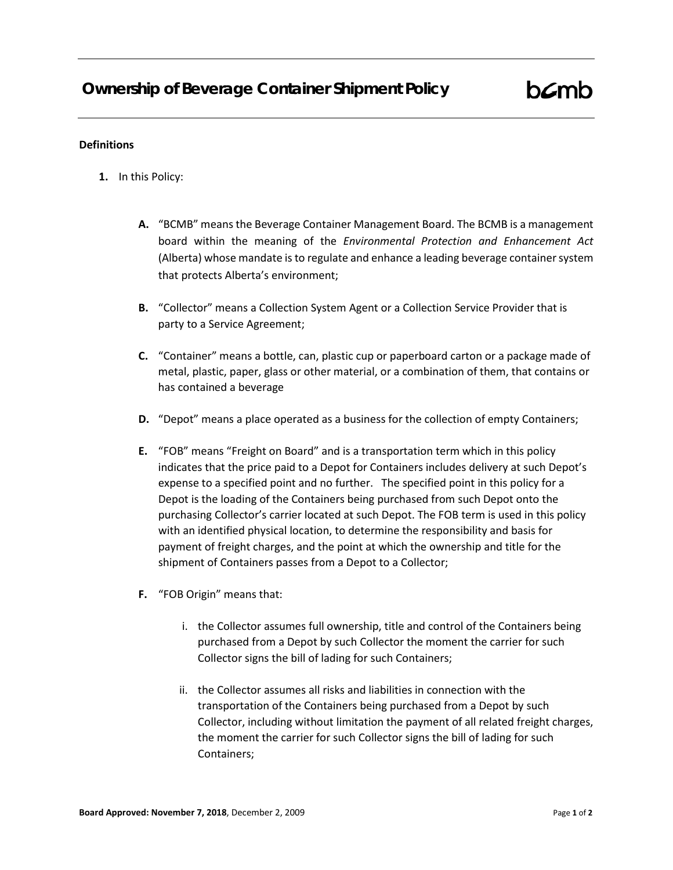## **Definitions**

- **1.** In this Policy:
	- **A.** "BCMB" means the Beverage Container Management Board. The BCMB is a management board within the meaning of the *Environmental Protection and Enhancement Act* (Alberta) whose mandate is to regulate and enhance a leading beverage container system that protects Alberta's environment;
	- **B.** "Collector" means a Collection System Agent or a Collection Service Provider that is party to a Service Agreement;
	- **C.** "Container" means a bottle, can, plastic cup or paperboard carton or a package made of metal, plastic, paper, glass or other material, or a combination of them, that contains or has contained a beverage
	- **D.** "Depot" means a place operated as a business for the collection of empty Containers;
	- **E.** "FOB" means "Freight on Board" and is a transportation term which in this policy indicates that the price paid to a Depot for Containers includes delivery at such Depot's expense to a specified point and no further. The specified point in this policy for a Depot is the loading of the Containers being purchased from such Depot onto the purchasing Collector's carrier located at such Depot. The FOB term is used in this policy with an identified physical location, to determine the responsibility and basis for payment of freight charges, and the point at which the ownership and title for the shipment of Containers passes from a Depot to a Collector;
	- **F.** "FOB Origin" means that:
		- i. the Collector assumes full ownership, title and control of the Containers being purchased from a Depot by such Collector the moment the carrier for such Collector signs the bill of lading for such Containers;
		- ii. the Collector assumes all risks and liabilities in connection with the transportation of the Containers being purchased from a Depot by such Collector, including without limitation the payment of all related freight charges, the moment the carrier for such Collector signs the bill of lading for such Containers;